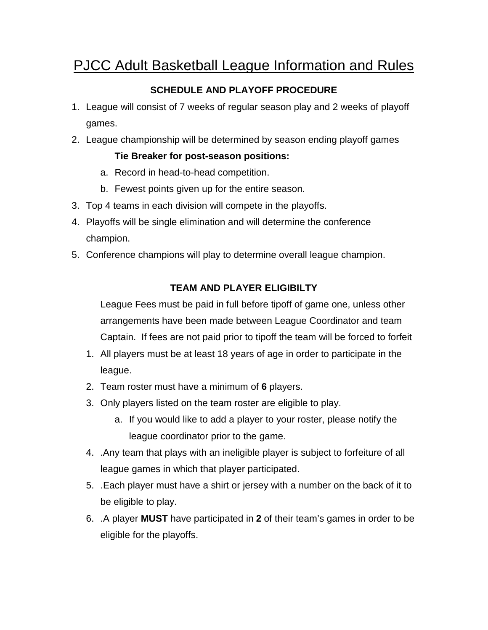# PJCC Adult Basketball League Information and Rules

## **SCHEDULE AND PLAYOFF PROCEDURE**

- 1. League will consist of 7 weeks of regular season play and 2 weeks of playoff games.
- 2. League championship will be determined by season ending playoff games

### **Tie Breaker for post-season positions:**

- a. Record in head-to-head competition.
- b. Fewest points given up for the entire season.
- 3. Top 4 teams in each division will compete in the playoffs.
- 4. Playoffs will be single elimination and will determine the conference champion.
- 5. Conference champions will play to determine overall league champion.

## **TEAM AND PLAYER ELIGIBILTY**

League Fees must be paid in full before tipoff of game one, unless other arrangements have been made between League Coordinator and team Captain. If fees are not paid prior to tipoff the team will be forced to forfeit

- 1. All players must be at least 18 years of age in order to participate in the league.
- 2. Team roster must have a minimum of **6** players.
- 3. Only players listed on the team roster are eligible to play.
	- a. If you would like to add a player to your roster, please notify the league coordinator prior to the game.
- 4. .Any team that plays with an ineligible player is subject to forfeiture of all league games in which that player participated.
- 5. .Each player must have a shirt or jersey with a number on the back of it to be eligible to play.
- 6. .A player **MUST** have participated in **2** of their team's games in order to be eligible for the playoffs.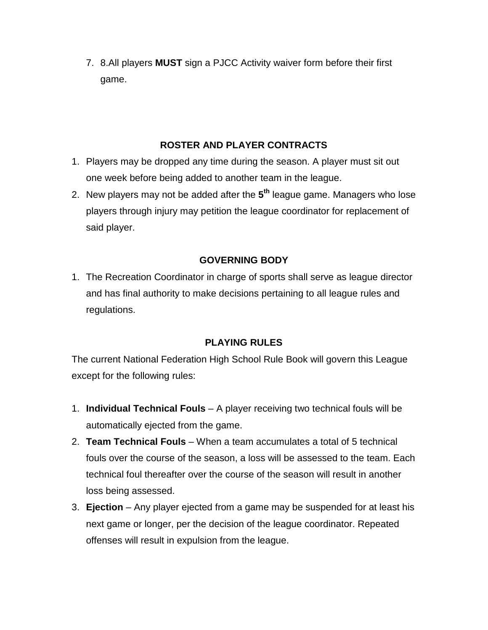7. 8.All players **MUST** sign a PJCC Activity waiver form before their first game.

#### **ROSTER AND PLAYER CONTRACTS**

- 1. Players may be dropped any time during the season. A player must sit out one week before being added to another team in the league.
- 2. New players may not be added after the **5 th** league game. Managers who lose players through injury may petition the league coordinator for replacement of said player.

### **GOVERNING BODY**

1. The Recreation Coordinator in charge of sports shall serve as league director and has final authority to make decisions pertaining to all league rules and regulations.

#### **PLAYING RULES**

The current National Federation High School Rule Book will govern this League except for the following rules:

- 1. **Individual Technical Fouls** A player receiving two technical fouls will be automatically ejected from the game.
- 2. **Team Technical Fouls** When a team accumulates a total of 5 technical fouls over the course of the season, a loss will be assessed to the team. Each technical foul thereafter over the course of the season will result in another loss being assessed.
- 3. **Ejection** Any player ejected from a game may be suspended for at least his next game or longer, per the decision of the league coordinator. Repeated offenses will result in expulsion from the league.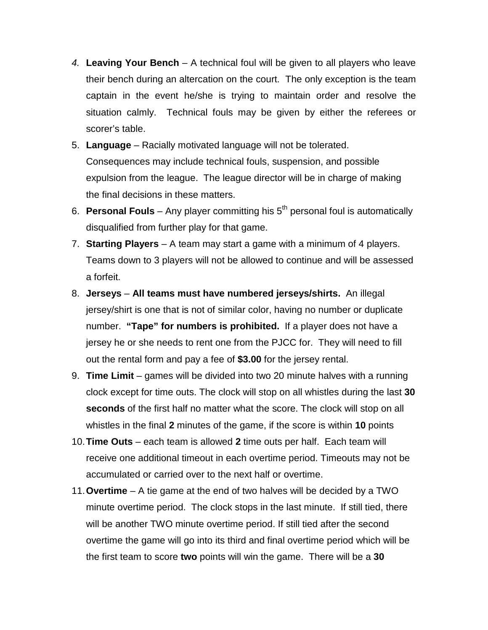- 4. **Leaving Your Bench** A technical foul will be given to all players who leave their bench during an altercation on the court. The only exception is the team captain in the event he/she is trying to maintain order and resolve the situation calmly. Technical fouls may be given by either the referees or scorer's table.
- 5. **Language** Racially motivated language will not be tolerated. Consequences may include technical fouls, suspension, and possible expulsion from the league. The league director will be in charge of making the final decisions in these matters.
- 6. **Personal Fouls** Any player committing his 5th personal foul is automatically disqualified from further play for that game.
- 7. **Starting Players** A team may start a game with a minimum of 4 players. Teams down to 3 players will not be allowed to continue and will be assessed a forfeit.
- 8. **Jerseys All teams must have numbered jerseys/shirts.** An illegal jersey/shirt is one that is not of similar color, having no number or duplicate number. **"Tape" for numbers is prohibited.** If a player does not have a jersey he or she needs to rent one from the PJCC for. They will need to fill out the rental form and pay a fee of **\$3.00** for the jersey rental.
- 9. **Time Limit** games will be divided into two 20 minute halves with a running clock except for time outs. The clock will stop on all whistles during the last **30 seconds** of the first half no matter what the score. The clock will stop on all whistles in the final **2** minutes of the game, if the score is within **10** points
- 10. **Time Outs** each team is allowed **2** time outs per half. Each team will receive one additional timeout in each overtime period. Timeouts may not be accumulated or carried over to the next half or overtime.
- 11. **Overtime** A tie game at the end of two halves will be decided by a TWO minute overtime period. The clock stops in the last minute. If still tied, there will be another TWO minute overtime period. If still tied after the second overtime the game will go into its third and final overtime period which will be the first team to score **two** points will win the game. There will be a **30**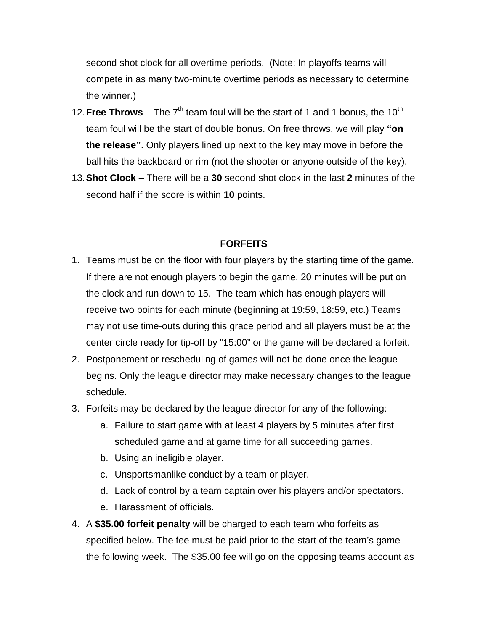second shot clock for all overtime periods. (Note: In playoffs teams will compete in as many two-minute overtime periods as necessary to determine the winner.)

- 12. **Free Throws** The  $7<sup>th</sup>$  team foul will be the start of 1 and 1 bonus, the 10<sup>th</sup> team foul will be the start of double bonus. On free throws, we will play **"on the release"**. Only players lined up next to the key may move in before the ball hits the backboard or rim (not the shooter or anyone outside of the key).
- 13. **Shot Clock**  There will be a **30** second shot clock in the last **2** minutes of the second half if the score is within **10** points.

#### **FORFEITS**

- 1. Teams must be on the floor with four players by the starting time of the game. If there are not enough players to begin the game, 20 minutes will be put on the clock and run down to 15. The team which has enough players will receive two points for each minute (beginning at 19:59, 18:59, etc.) Teams may not use time-outs during this grace period and all players must be at the center circle ready for tip-off by "15:00" or the game will be declared a forfeit.
- 2. Postponement or rescheduling of games will not be done once the league begins. Only the league director may make necessary changes to the league schedule.
- 3. Forfeits may be declared by the league director for any of the following:
	- a. Failure to start game with at least 4 players by 5 minutes after first scheduled game and at game time for all succeeding games.
	- b. Using an ineligible player.
	- c. Unsportsmanlike conduct by a team or player.
	- d. Lack of control by a team captain over his players and/or spectators.
	- e. Harassment of officials.
- 4. A **\$35.00 forfeit penalty** will be charged to each team who forfeits as specified below. The fee must be paid prior to the start of the team's game the following week. The \$35.00 fee will go on the opposing teams account as